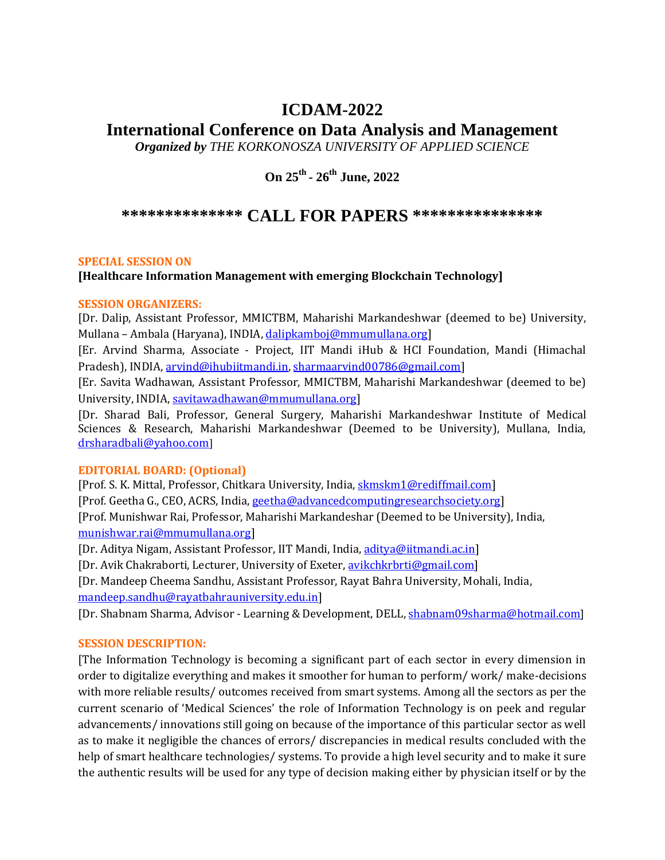## **ICDAM-2022**

# **International Conference on Data Analysis and Management**

*Organized by THE KORKONOSZA UNIVERSITY OF APPLIED SCIENCE* 

**On 25th - 26th June, 2022**

## **\*\*\*\*\*\*\*\*\*\*\*\*\*\* CALL FOR PAPERS \*\*\*\*\*\*\*\*\*\*\*\*\*\*\***

#### **SPECIAL SESSION ON**

### **[Healthcare Information Management with emerging Blockchain Technology]**

#### **SESSION ORGANIZERS:**

[Dr. Dalip, Assistant Professor, MMICTBM, Maharishi Markandeshwar (deemed to be) University, Mullana – Ambala (Haryana), INDIA, [dalipkamboj@mmumullana.org\]](mailto:dalipkamboj@mmumullana.org)

[Er. Arvind Sharma, Associate - Project, IIT Mandi iHub & HCI Foundation, Mandi (Himachal Pradesh), INDIA[, arvind@ihubiitmandi.in,](mailto:arvind@ihubiitmandi.in) [sharmaarvind00786@gmail.com\]](mailto:sharmaarvind00786@gmail.com)

[Er. Savita Wadhawan, Assistant Professor, MMICTBM, Maharishi Markandeshwar (deemed to be) University, INDIA, [savitawadhawan@mmumullana.org\]](mailto:savitawadhawan@mmumullana.org)

[Dr. Sharad Bali, Professor, General Surgery, Maharishi Markandeshwar Institute of Medical Sciences & Research, Maharishi Markandeshwar (Deemed to be University), Mullana, India, [drsharadbali@yahoo.com](mailto:drsharadbali@yahoo.com)]

#### **EDITORIAL BOARD: (Optional)**

[Prof. S. K. Mittal, Professor, Chitkara University, India[, skmskm1@rediffmail.com\]](mailto:skmskm1@rediffmail.com) [Prof. Geetha G., CEO, ACRS, India[, geetha@advancedcomputingresearchsociety.org\]](mailto:geetha@advancedcomputingresearchsociety.org) [Prof. Munishwar Rai, Professor, Maharishi Markandeshar (Deemed to be University), India, [munishwar.rai@mmumullana.org\]](mailto:munishwar.rai@mmumullana.org)

[Dr. Aditya Nigam, Assistant Professor, IIT Mandi, India[, aditya@iitmandi.ac.in\]](mailto:aditya@iitmandi.ac.in)

[Dr. Avik Chakraborti, Lecturer, University of Exeter, [avikchkrbrti@gmail.com\]](mailto:avikchkrbrti@gmail.com)

[Dr. Mandeep Cheema Sandhu, Assistant Professor, Rayat Bahra University, Mohali, India, [mandeep.sandhu@rayatbahrauniversity.edu.in\]](mailto:mandeep.sandhu@rayatbahrauniversity.edu.in)

[Dr. Shabnam Sharma, Advisor - Learning & Development, DELL, [shabnam09sharma@hotmail.com](mailto:shabnam09sharma@hotmail.com)]

#### **SESSION DESCRIPTION:**

[The Information Technology is becoming a significant part of each sector in every dimension in order to digitalize everything and makes it smoother for human to perform/ work/ make-decisions with more reliable results/ outcomes received from smart systems. Among all the sectors as per the current scenario of 'Medical Sciences' the role of Information Technology is on peek and regular advancements/ innovations still going on because of the importance of this particular sector as well as to make it negligible the chances of errors/ discrepancies in medical results concluded with the help of smart healthcare technologies/ systems. To provide a high level security and to make it sure the authentic results will be used for any type of decision making either by physician itself or by the